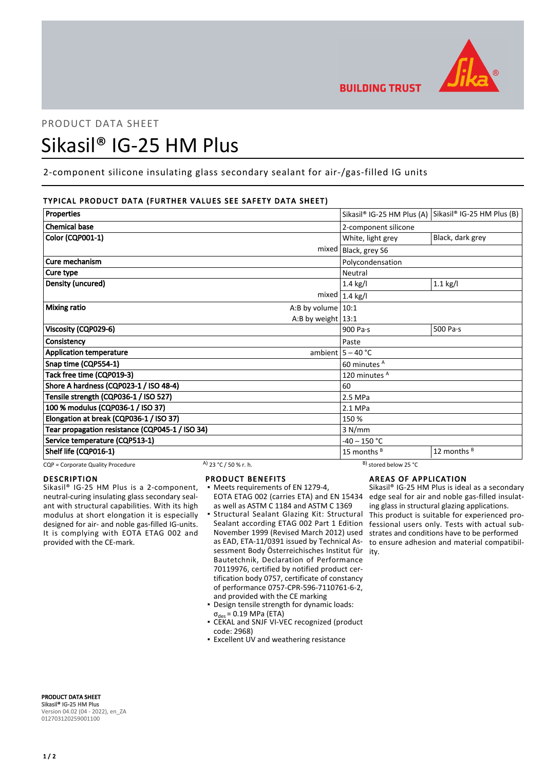

# PRODUCT DATA SHEET Sikasil® IG-25 HM Plus

2-component silicone insulating glass secondary sealant for air-/gas-filled IG units

# TYPICAL PRODUCT DATA (FURTHER VALUES SEE SAFETY DATA SHEET)

| <b>Properties</b>                               |                        |                          |                       | Sikasil® IG-25 HM Plus (A) Sikasil® IG-25 HM Plus (B) |  |
|-------------------------------------------------|------------------------|--------------------------|-----------------------|-------------------------------------------------------|--|
| <b>Chemical base</b>                            |                        |                          | 2-component silicone  |                                                       |  |
| <b>Color (CQP001-1)</b>                         |                        |                          | White, light grey     | Black, dark grey                                      |  |
|                                                 |                        | mixed                    | Black, grey S6        |                                                       |  |
| Cure mechanism                                  |                        |                          | Polycondensation      |                                                       |  |
| Cure type                                       |                        |                          | Neutral               |                                                       |  |
| Density (uncured)                               |                        |                          | $1.4$ kg/l            | $1.1$ kg/l                                            |  |
|                                                 |                        |                          | mixed $1.4$ kg/l      |                                                       |  |
| Mixing ratio                                    |                        | A:B by volume $10:1$     |                       |                                                       |  |
|                                                 |                        | A:B by weight $13:1$     |                       |                                                       |  |
| Viscosity (CQP029-6)                            |                        |                          | 900 Pa·s              | 500 Pa $\cdot$ s                                      |  |
| Consistency                                     |                        | Paste                    |                       |                                                       |  |
| <b>Application temperature</b>                  |                        |                          | ambient $5 - 40$ °C   |                                                       |  |
| Snap time (CQP554-1)                            |                        | 60 minutes A             |                       |                                                       |  |
| Tack free time (CQP019-3)                       |                        | 120 minutes <sup>A</sup> |                       |                                                       |  |
| Shore A hardness (CQP023-1 / ISO 48-4)          |                        |                          | 60                    |                                                       |  |
| Tensile strength (CQP036-1 / ISO 527)           |                        | 2.5 MPa                  |                       |                                                       |  |
| 100 % modulus (CQP036-1 / ISO 37)               |                        | 2.1 MPa                  |                       |                                                       |  |
| Elongation at break (CQP036-1 / ISO 37)         |                        |                          | 150 %                 |                                                       |  |
| Tear propagation resistance (CQP045-1 / ISO 34) |                        |                          | 3 N/mm                |                                                       |  |
| Service temperature (CQP513-1)                  |                        |                          | $-40 - 150$ °C        |                                                       |  |
| Shelf life (CQP016-1)                           |                        |                          | 15 months $B$         | 12 months B                                           |  |
| CQP = Corporate Quality Procedure               | A) $23 °C / 50 %r. h.$ |                          | B) stored below 25 °C |                                                       |  |

# DESCRIPTION

Sikasil® IG-25 HM Plus is a 2-component, neutral-curing insulating glass secondary sealant with structural capabilities. With its high modulus at short elongation it is especially designed for air- and noble gas-filled IG-units. It is complying with EOTA ETAG 002 and provided with the CE-mark.

# PRODUCT BENEFITS

- Meets requirements of EN 1279-4, as well as ASTM C 1184 and ASTM C 1369
- Structural Sealant Glazing Kit: Structural Sealant according ETAG 002 Part 1 Edition November 1999 (Revised March 2012) used as EAD, ETA-11/0391 issued by Technical Assessment Body Österreichisches Institut für ity. Bautetchnik, Declaration of Performance 70119976, certified by notified product certification body 0757, certificate of constancy of performance 0757-CPR-596-7110761-6-2, and provided with the CE marking ▪
- Design tensile strength for dynamic loads:  $\sigma_{des}$  = 0.19 MPa (ETA)
- CEKAL and SNJF VI-VEC recognized (product code: 2968)
- **Excellent UV and weathering resistance**

# AREAS OF APPLICATION

EOTA ETAG 002 (carries ETA) and EN 15434 edge seal for air and noble gas-filled insulat-Sikasil® IG-25 HM Plus is ideal as a secondary ing glass in structural glazing applications. This product is suitable for experienced professional users only. Tests with actual substrates and conditions have to be performed to ensure adhesion and material compatibil-

PRODUCT DATA SHEET Sikasil® IG-25 HM Plus Version 04.02 (04 - 2022), en\_ZA 012703120259001100